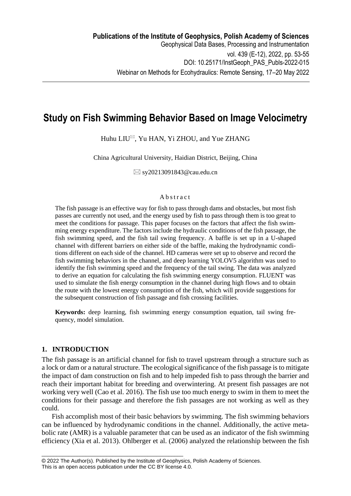# **Study on Fish Swimming Behavior Based on Image Velocimetry**

Huhu LIU $^{\boxtimes}$ , Yu HAN, Yi ZHOU, and Yue ZHANG

China Agricultural University, Haidian District, Beijing, China

 $\boxtimes$  sy20213091843@cau.edu.cn

### **A** b s t r a c t

The fish passage is an effective way for fish to pass through dams and obstacles, but most fish passes are currently not used, and the energy used by fish to pass through them is too great to meet the conditions for passage. This paper focuses on the factors that affect the fish swimming energy expenditure. The factors include the hydraulic conditions of the fish passage, the fish swimming speed, and the fish tail swing frequency. A baffle is set up in a U-shaped channel with different barriers on either side of the baffle, making the hydrodynamic conditions different on each side of the channel. HD cameras were set up to observe and record the fish swimming behaviors in the channel, and deep learning YOLOV5 algorithm was used to identify the fish swimming speed and the frequency of the tail swing. The data was analyzed to derive an equation for calculating the fish swimming energy consumption. FLUENT was used to simulate the fish energy consumption in the channel during high flows and to obtain the route with the lowest energy consumption of the fish, which will provide suggestions for the subsequent construction of fish passage and fish crossing facilities.

**Keywords:** deep learning, fish swimming energy consumption equation, tail swing frequency, model simulation.

# **1. INTRODUCTION**

The fish passage is an artificial channel for fish to travel upstream through a structure such as a lock or dam or a natural structure. The ecological significance of the fish passage is to mitigate the impact of dam construction on fish and to help impeded fish to pass through the barrier and reach their important habitat for breeding and overwintering. At present fish passages are not working very well (Cao et al. 2016). The fish use too much energy to swim in them to meet the conditions for their passage and therefore the fish passages are not working as well as they could.

Fish accomplish most of their basic behaviors by swimming. The fish swimming behaviors can be influenced by hydrodynamic conditions in the channel. Additionally, the active metabolic rate (AMR) is a valuable parameter that can be used as an indicator of the fish swimming efficiency (Xia et al. 2013). [Ohlberger et](https://www.webofscience.com/wos/author/record/1422629) al. (2006) analyzed the relationship between the fish

\_\_\_\_\_\_\_\_\_\_\_\_\_\_\_\_\_\_\_\_\_\_\_\_\_\_\_\_\_\_\_\_\_\_\_\_\_\_\_\_\_\_\_\_\_\_\_\_

<sup>© 2022</sup> The Author(s). Published by the Institute of Geophysics, Polish Academy of Sciences. This is an open access publication under the CC BY license 4.0.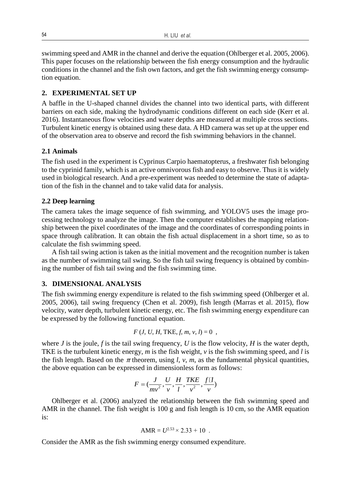swimming speed and AMR in the channel and derive the equation [\(Ohlberger et](https://www.webofscience.com/wos/author/record/1422629) al. 2005, 2006). This paper focuses on the relationship between the fish energy consumption and the hydraulic conditions in the channel and the fish own factors, and get the fish swimming energy consumption equation.

## **2. EXPERIMENTAL SET UP**

A baffle in the U-shaped channel divides the channel into two identical parts, with different barriers on each side, making the hydrodynamic conditions different on each side (Kerr et al. 2016). Instantaneous flow velocities and water depths are measured at multiple cross sections. Turbulent kinetic energy is obtained using these data. A HD camera was set up at the upper end of the observation area to observe and record the fish swimming behaviors in the channel.

# **2.1 Animals**

The fish used in the experiment is Cyprinus Carpio haematopterus, a freshwater fish belonging to the cyprinid family, which is an active omnivorous fish and easy to observe. Thus it is widely used in biological research. And a pre-experiment was needed to determine the state of adaptation of the fish in the channel and to take valid data for analysis.

#### **2.2 Deep learning**

The camera takes the image sequence of fish swimming, and YOLOV5 uses the image processing technology to analyze the image. Then the computer establishes the mapping relationship between the pixel coordinates of the image and the coordinates of corresponding points in space through calibration. It can obtain the fish actual displacement in a short time, so as to calculate the fish swimming speed.

A fish tail swing action is taken as the initial movement and the recognition number is taken as the number of swimming tail swing. So the fish tail swing frequency is obtained by combining the number of fish tail swing and the fish swimming time.

## **3. DIMENSIONAL ANALYSIS**

The fish swimming energy expenditure is related to the fish swimming speed [\(Ohlberger et](https://www.webofscience.com/wos/author/record/1422629) al. 2005, 2006), tail swing frequency (Chen et al. 2009), fish length (Marras et al. 2015), flow velocity, water depth, turbulent kinetic energy, etc. The fish swimming energy expenditure can be expressed by the following functional equation.

$$
F(J, U, H, \text{TKE}, f, m, v, l) = 0
$$
,

where *J* is the joule, *f* is the tail swing frequency, *U* is the flow velocity, *H* is the water depth, TKE is the turbulent kinetic energy, *m* is the fish weight, *v* is the fish swimming speed, and *l* is the fish length. Based on the  $\pi$  theorem, using *l*, *v*, *m*, as the fundamental physical quantities, the above equation can be expressed in dimensionless form as follows:

$$
F = (\frac{J}{mv^2}, \frac{U}{v}, \frac{H}{l}, \frac{TKE}{v^2}, \frac{f\Box}{v})
$$

[Ohlberger et](https://www.webofscience.com/wos/author/record/1422629) al. (2006) analyzed the relationship between the fish swimming speed and AMR in the channel. The fish weight is 100 g and fish length is 10 cm, so the AMR equation is:

$$
AMR = U^{2.53} \times 2.33 + 10.
$$

Consider the AMR as the fish swimming energy consumed expenditure.